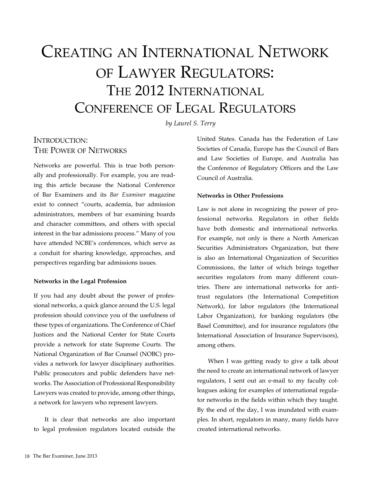# Creating an International Network of Lawyer Regulators: The 2012 International Conference of Legal Regulators

*by Laurel S. Terry*

# INTRODUCTION: The Power of Networks

Networks are powerful. This is true both personally and professionally. For example, you are reading this article because the National Conference of Bar Examiners and its *Bar Examiner* magazine exist to connect "courts, academia, bar admission administrators, members of bar examining boards and character committees, and others with special interest in the bar admissions process." Many of you have attended NCBE's conferences, which serve as a conduit for sharing knowledge, approaches, and perspectives regarding bar admissions issues.

### **Networks in the Legal Profession**

If you had any doubt about the power of professional networks, a quick glance around the U.S. legal profession should convince you of the usefulness of these types of organizations. The Conference of Chief Justices and the National Center for State Courts provide a network for state Supreme Courts. The National Organization of Bar Counsel (NOBC) provides a network for lawyer disciplinary authorities. Public prosecutors and public defenders have networks. The Association of Professional Responsibility Lawyers was created to provide, among other things, a network for lawyers who represent lawyers.

It is clear that networks are also important to legal profession regulators located outside the United States. Canada has the Federation of Law Societies of Canada, Europe has the Council of Bars and Law Societies of Europe, and Australia has the Conference of Regulatory Officers and the Law Council of Australia.

## **Networks in Other Professions**

Law is not alone in recognizing the power of professional networks. Regulators in other fields have both domestic and international networks. For example, not only is there a North American Securities Administrators Organization, but there is also an International Organization of Securities Commissions, the latter of which brings together securities regulators from many different countries. There are international networks for antitrust regulators (the International Competition Network), for labor regulators (the International Labor Organization), for banking regulators (the Basel Committee), and for insurance regulators (the International Association of Insurance Supervisors), among others.

When I was getting ready to give a talk about the need to create an international network of lawyer regulators, I sent out an e-mail to my faculty colleagues asking for examples of international regulator networks in the fields within which they taught. By the end of the day, I was inundated with examples. In short, regulators in many, many fields have created international networks.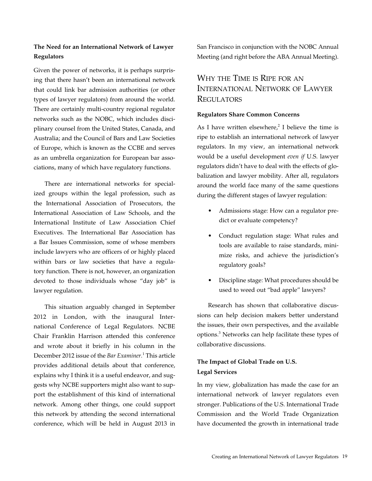## **The Need for an International Network of Lawyer Regulators**

Given the power of networks, it is perhaps surprising that there hasn't been an international network that could link bar admission authorities (or other types of lawyer regulators) from around the world. There are certainly multi-country regional regulator networks such as the NOBC, which includes disciplinary counsel from the United States, Canada, and Australia; and the Council of Bars and Law Societies of Europe, which is known as the CCBE and serves as an umbrella organization for European bar associations, many of which have regulatory functions.

There are international networks for specialized groups within the legal profession, such as the International Association of Prosecutors, the International Association of Law Schools, and the International Institute of Law Association Chief Executives. The International Bar Association has a Bar Issues Commission, some of whose members include lawyers who are officers of or highly placed within bars or law societies that have a regulatory function. There is not, however, an organization devoted to those individuals whose "day job" is lawyer regulation.

This situation arguably changed in September 2012 in London, with the inaugural International Conference of Legal Regulators. NCBE Chair Franklin Harrison attended this conference and wrote about it briefly in his column in the December 2012 issue of the *Bar Examiner.*<sup>1</sup> This article provides additional details about that conference, explains why I think it is a useful endeavor, and suggests why NCBE supporters might also want to support the establishment of this kind of international network. Among other things, one could support this network by attending the second international conference, which will be held in August 2013 in

San Francisco in conjunction with the NOBC Annual Meeting (and right before the ABA Annual Meeting).

# Why the Time is Ripe for an International Network of Lawyer **REGULATORS**

#### **Regulators Share Common Concerns**

As I have written elsewhere,<sup>2</sup> I believe the time is ripe to establish an international network of lawyer regulators. In my view, an international network would be a useful development *even if* U.S. lawyer regulators didn't have to deal with the effects of globalization and lawyer mobility. After all, regulators around the world face many of the same questions during the different stages of lawyer regulation:

- Admissions stage: How can a regulator predict or evaluate competency?
- Conduct regulation stage: What rules and tools are available to raise standards, minimize risks, and achieve the jurisdiction's regulatory goals?
- Discipline stage: What procedures should be used to weed out "bad apple" lawyers?

Research has shown that collaborative discussions can help decision makers better understand the issues, their own perspectives, and the available options.<sup>3</sup> Networks can help facilitate these types of collaborative discussions.

# **The Impact of Global Trade on U.S. Legal Services**

In my view, globalization has made the case for an international network of lawyer regulators even stronger. Publications of the U.S. International Trade Commission and the World Trade Organization have documented the growth in international trade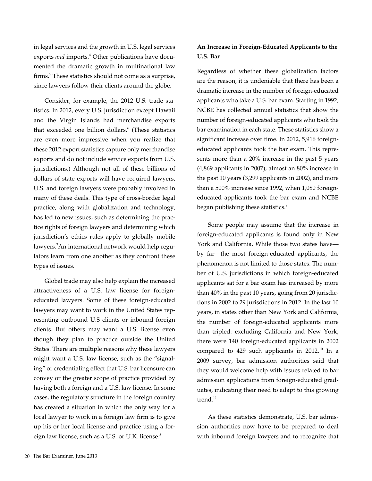in legal services and the growth in U.S. legal services exports *and* imports.<sup>4</sup> Other publications have documented the dramatic growth in multinational law firms.<sup>5</sup> These statistics should not come as a surprise, since lawyers follow their clients around the globe.

Consider, for example, the 2012 U.S. trade statistics. In 2012, every U.S. jurisdiction except Hawaii and the Virgin Islands had merchandise exports that exceeded one billion dollars.<sup>6</sup> (These statistics are even more impressive when you realize that these 2012 export statistics capture only merchandise exports and do not include service exports from U.S. jurisdictions.) Although not all of these billions of dollars of state exports will have required lawyers, U.S. and foreign lawyers were probably involved in many of these deals. This type of cross-border legal practice, along with globalization and technology, has led to new issues, such as determining the practice rights of foreign lawyers and determining which jurisdiction's ethics rules apply to globally mobile lawyers.7 An international network would help regulators learn from one another as they confront these types of issues.

Global trade may also help explain the increased attractiveness of a U.S. law license for foreigneducated lawyers. Some of these foreign-educated lawyers may want to work in the United States representing outbound U.S clients or inbound foreign clients. But others may want a U.S. license even though they plan to practice outside the United States. There are multiple reasons why these lawyers might want a U.S. law license, such as the "signaling" or credentialing effect that U.S. bar licensure can convey or the greater scope of practice provided by having both a foreign and a U.S. law license. In some cases, the regulatory structure in the foreign country has created a situation in which the only way for a local lawyer to work in a foreign law firm is to give up his or her local license and practice using a foreign law license, such as a U.S. or U.K. license.<sup>8</sup>

## **An Increase in Foreign-Educated Applicants to the U.S. Bar**

Regardless of whether these globalization factors are the reason, it is undeniable that there has been a dramatic increase in the number of foreign-educated applicants who take a U.S. bar exam. Starting in 1992, NCBE has collected annual statistics that show the number of foreign-educated applicants who took the bar examination in each state. These statistics show a significant increase over time. In 2012, 5,916 foreigneducated applicants took the bar exam. This represents more than a 20% increase in the past 5 years (4,869 applicants in 2007), almost an 80% increase in the past 10 years (3,299 applicants in 2002), and more than a 500% increase since 1992, when 1,080 foreigneducated applicants took the bar exam and NCBE began publishing these statistics.<sup>9</sup>

Some people may assume that the increase in foreign-educated applicants is found only in New York and California. While those two states have by far—the most foreign-educated applicants, the phenomenon is not limited to those states. The number of U.S. jurisdictions in which foreign-educated applicants sat for a bar exam has increased by more than 40% in the past 10 years, going from 20 jurisdictions in 2002 to 29 jurisdictions in 2012. In the last 10 years, in states other than New York and California, the number of foreign-educated applicants more than tripled: excluding California and New York, there were 140 foreign-educated applicants in 2002 compared to 429 such applicants in 2012.<sup>10</sup> In a 2009 survey, bar admission authorities said that they would welcome help with issues related to bar admission applications from foreign-educated graduates, indicating their need to adapt to this growing trend. $11$ 

As these statistics demonstrate, U.S. bar admission authorities now have to be prepared to deal with inbound foreign lawyers and to recognize that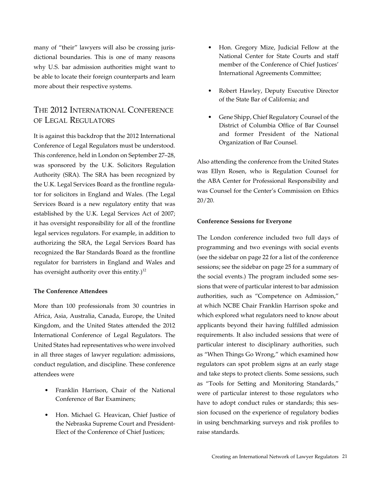many of "their" lawyers will also be crossing jurisdictional boundaries. This is one of many reasons why U.S. bar admission authorities might want to be able to locate their foreign counterparts and learn more about their respective systems.

# The 2012 International Conference of Legal Regulators

It is against this backdrop that the 2012 International Conference of Legal Regulators must be understood. This conference, held in London on September 27–28, was sponsored by the U.K. Solicitors Regulation Authority (SRA). The SRA has been recognized by the U.K. Legal Services Board as the frontline regulator for solicitors in England and Wales. (The Legal Services Board is a new regulatory entity that was established by the U.K. Legal Services Act of 2007; it has oversight responsibility for all of the frontline legal services regulators. For example, in addition to authorizing the SRA, the Legal Services Board has recognized the Bar Standards Board as the frontline regulator for barristers in England and Wales and has oversight authority over this entity.)<sup>12</sup>

#### **The Conference Attendees**

More than 100 professionals from 30 countries in Africa, Asia, Australia, Canada, Europe, the United Kingdom, and the United States attended the 2012 International Conference of Legal Regulators. The United States had representatives who were involved in all three stages of lawyer regulation: admissions, conduct regulation, and discipline. These conference attendees were

- • Franklin Harrison, Chair of the National Conference of Bar Examiners;
- • Hon. Michael G. Heavican, Chief Justice of the Nebraska Supreme Court and President-Elect of the Conference of Chief Justices;
- Hon. Gregory Mize, Judicial Fellow at the National Center for State Courts and staff member of the Conference of Chief Justices' International Agreements Committee;
- Robert Hawley, Deputy Executive Director of the State Bar of California; and
- Gene Shipp, Chief Regulatory Counsel of the District of Columbia Office of Bar Counsel and former President of the National Organization of Bar Counsel.

Also attending the conference from the United States was Ellyn Rosen, who is Regulation Counsel for the ABA Center for Professional Responsibility and was Counsel for the Center's Commission on Ethics 20/20.

#### **Conference Sessions for Everyone**

The London conference included two full days of programming and two evenings with social events (see the sidebar on page 22 for a list of the conference sessions; see the sidebar on page 25 for a summary of the social events.) The program included some sessions that were of particular interest to bar admission authorities, such as "Competence on Admission," at which NCBE Chair Franklin Harrison spoke and which explored what regulators need to know about applicants beyond their having fulfilled admission requirements. It also included sessions that were of particular interest to disciplinary authorities, such as "When Things Go Wrong," which examined how regulators can spot problem signs at an early stage and take steps to protect clients. Some sessions, such as "Tools for Setting and Monitoring Standards," were of particular interest to those regulators who have to adopt conduct rules or standards; this session focused on the experience of regulatory bodies in using benchmarking surveys and risk profiles to raise standards.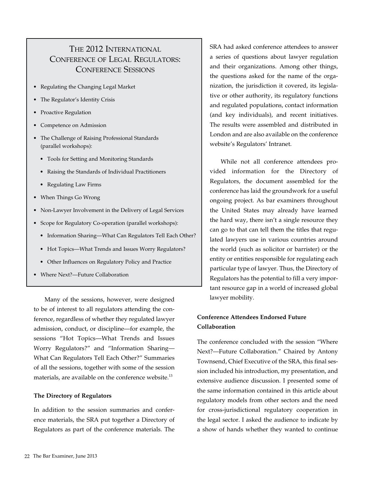# The 2012 International Conference of Legal Regulators: Conference Sessions

- • Regulating the Changing Legal Market
- The Regulator's Identity Crisis
- **Proactive Regulation**
- Competence on Admission
- The Challenge of Raising Professional Standards (parallel workshops):
	- • Tools for Setting and Monitoring Standards
	- • Raising the Standards of Individual Practitioners
	- • Regulating Law Firms
- When Things Go Wrong
- Non-Lawyer Involvement in the Delivery of Legal Services
- Scope for Regulatory Co-operation (parallel workshops):
	- Information Sharing—What Can Regulators Tell Each Other?
	- Hot Topics—What Trends and Issues Worry Regulators?
	- • Other Influences on Regulatory Policy and Practice
- Where Next?—Future Collaboration

Many of the sessions, however, were designed to be of interest to all regulators attending the conference, regardless of whether they regulated lawyer admission, conduct, or discipline—for example, the sessions "Hot Topics—What Trends and Issues Worry Regulators?" and "Information Sharing— What Can Regulators Tell Each Other?" Summaries of all the sessions, together with some of the session materials, are available on the conference website.<sup>13</sup>

#### **The Directory of Regulators**

In addition to the session summaries and conference materials, the SRA put together a Directory of Regulators as part of the conference materials. The

SRA had asked conference attendees to answer a series of questions about lawyer regulation and their organizations. Among other things, the questions asked for the name of the organization, the jurisdiction it covered, its legislative or other authority, its regulatory functions and regulated populations, contact information (and key individuals), and recent initiatives. The results were assembled and distributed in London and are also available on the conference website's Regulators' Intranet.

While not all conference attendees provided information for the Directory of Regulators, the document assembled for the conference has laid the groundwork for a useful ongoing project. As bar examiners throughout the United States may already have learned the hard way, there isn't a single resource they can go to that can tell them the titles that regulated lawyers use in various countries around the world (such as solicitor or barrister) or the entity or entities responsible for regulating each particular type of lawyer. Thus, the Directory of Regulators has the potential to fill a very important resource gap in a world of increased global lawyer mobility.

## **Conference Attendees Endorsed Future Collaboration**

The conference concluded with the session "Where Next?—Future Collaboration." Chaired by Antony Townsend, Chief Executive of the SRA, this final session included his introduction, my presentation, and extensive audience discussion. I presented some of the same information contained in this article about regulatory models from other sectors and the need for cross-jurisdictional regulatory cooperation in the legal sector. I asked the audience to indicate by a show of hands whether they wanted to continue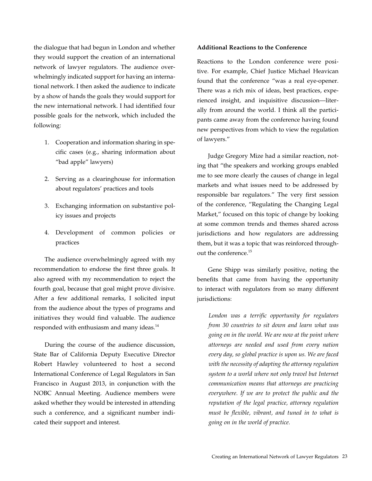the dialogue that had begun in London and whether they would support the creation of an international network of lawyer regulators. The audience overwhelmingly indicated support for having an international network. I then asked the audience to indicate by a show of hands the goals they would support for the new international network. I had identified four possible goals for the network, which included the following:

- 1. Cooperation and information sharing in specific cases (e.g., sharing information about "bad apple" lawyers)
- 2. Serving as a clearinghouse for information about regulators' practices and tools
- 3. Exchanging information on substantive policy issues and projects
- 4. Development of common policies or practices

The audience overwhelmingly agreed with my recommendation to endorse the first three goals. It also agreed with my recommendation to reject the fourth goal, because that goal might prove divisive. After a few additional remarks, I solicited input from the audience about the types of programs and initiatives they would find valuable. The audience responded with enthusiasm and many ideas.<sup>14</sup>

During the course of the audience discussion, State Bar of California Deputy Executive Director Robert Hawley volunteered to host a second International Conference of Legal Regulators in San Francisco in August 2013, in conjunction with the NOBC Annual Meeting. Audience members were asked whether they would be interested in attending such a conference, and a significant number indicated their support and interest.

#### **Additional Reactions to the Conference**

Reactions to the London conference were positive. For example, Chief Justice Michael Heavican found that the conference "was a real eye-opener. There was a rich mix of ideas, best practices, experienced insight, and inquisitive discussion—literally from around the world. I think all the participants came away from the conference having found new perspectives from which to view the regulation of lawyers."

Judge Gregory Mize had a similar reaction, noting that "the speakers and working groups enabled me to see more clearly the causes of change in legal markets and what issues need to be addressed by responsible bar regulators." The very first session of the conference, "Regulating the Changing Legal Market," focused on this topic of change by looking at some common trends and themes shared across jurisdictions and how regulators are addressing them, but it was a topic that was reinforced throughout the conference.15

Gene Shipp was similarly positive, noting the benefits that came from having the opportunity to interact with regulators from so many different jurisdictions:

*London was a terrific opportunity for regulators from 30 countries to sit down and learn what was going on in the world. We are now at the point where attorneys are needed and used from every nation every day, so global practice is upon us. We are faced with the necessity of adapting the attorney regulation system to a world where not only travel but Internet communication means that attorneys are practicing everywhere. If we are to protect the public and the reputation of the legal practice, attorney regulation must be flexible, vibrant, and tuned in to what is going on in the world of practice.*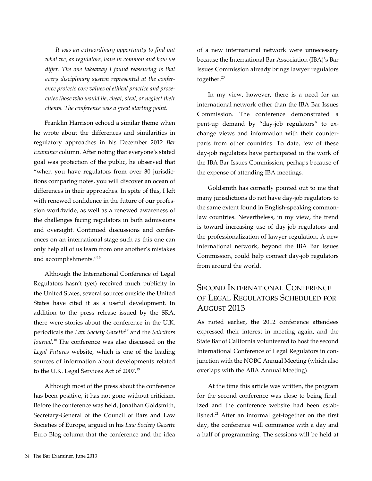*It was an extraordinary opportunity to find out what we, as regulators, have in common and how we differ. The one takeaway I found reassuring is that every disciplinary system represented at the conference protects core values of ethical practice and prosecutes those who would lie, cheat, steal, or neglect their clients. The conference was a great starting point.* 

Franklin Harrison echoed a similar theme when he wrote about the differences and similarities in regulatory approaches in his December 2012 *Bar Examiner* column. After noting that everyone's stated goal was protection of the public, he observed that "when you have regulators from over 30 jurisdictions comparing notes, you will discover an ocean of differences in their approaches. In spite of this, I left with renewed confidence in the future of our profession worldwide, as well as a renewed awareness of the challenges facing regulators in both admissions and oversight. Continued discussions and conferences on an international stage such as this one can only help all of us learn from one another's mistakes and accomplishments."16

Although the International Conference of Legal Regulators hasn't (yet) received much publicity in the United States, several sources outside the United States have cited it as a useful development. In addition to the press release issued by the SRA, there were stories about the conference in the U.K. periodicals the *Law Society Gazette*17 and the *Solicitors Journal*. 18 The conference was also discussed on the *Legal Futures* website, which is one of the leading sources of information about developments related to the U.K. Legal Services Act of 2007.<sup>19</sup>

Although most of the press about the conference has been positive, it has not gone without criticism. Before the conference was held, Jonathan Goldsmith, Secretary-General of the Council of Bars and Law Societies of Europe, argued in his *Law Society Gazette* Euro Blog column that the conference and the idea of a new international network were unnecessary because the International Bar Association (IBA)'s Bar Issues Commission already brings lawyer regulators together.<sup>20</sup>

In my view, however, there is a need for an international network other than the IBA Bar Issues Commission. The conference demonstrated a pent-up demand by "day-job regulators" to exchange views and information with their counterparts from other countries. To date, few of these day-job regulators have participated in the work of the IBA Bar Issues Commission, perhaps because of the expense of attending IBA meetings.

Goldsmith has correctly pointed out to me that many jurisdictions do not have day-job regulators to the same extent found in English-speaking commonlaw countries. Nevertheless, in my view, the trend is toward increasing use of day-job regulators and the professionalization of lawyer regulation. A new international network, beyond the IBA Bar Issues Commission, could help connect day-job regulators from around the world.

# Second International Conference of Legal Regulators Scheduled for August 2013

As noted earlier, the 2012 conference attendees expressed their interest in meeting again, and the State Bar of California volunteered to host the second International Conference of Legal Regulators in conjunction with the NOBC Annual Meeting (which also overlaps with the ABA Annual Meeting).

At the time this article was written, the program for the second conference was close to being finalized and the conference website had been established.<sup>21</sup> After an informal get-together on the first day, the conference will commence with a day and a half of programming. The sessions will be held at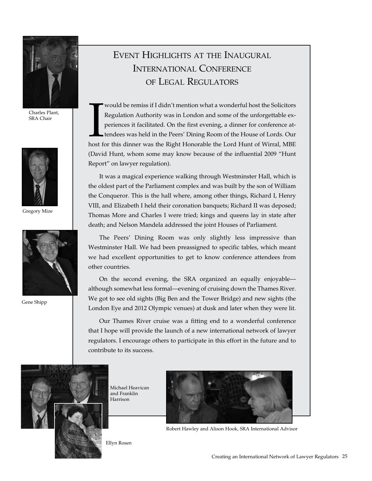

Charles Plant, SRA Chair



Gregory Mize



Gene Shipp

# Event Highlights at the Inaugural International Conference of Legal Regulators

Would be remiss if I didn't mention what a wonderful host the Solicitors<br>Regulation Authority was in London and some of the unforgettable ex-<br>periences it facilitated. On the first evening, a dinner for conference at-<br>tend would be remiss if I didn't mention what a wonderful host the Solicitors Regulation Authority was in London and some of the unforgettable experiences it facilitated. On the first evening, a dinner for conference attendees was held in the Peers' Dining Room of the House of Lords. Our (David Hunt, whom some may know because of the influential 2009 "Hunt Report" on lawyer regulation).

It was a magical experience walking through Westminster Hall, which is the oldest part of the Parliament complex and was built by the son of William the Conqueror. This is the hall where, among other things, Richard I, Henry VIII, and Elizabeth I held their coronation banquets; Richard II was deposed; Thomas More and Charles I were tried; kings and queens lay in state after death; and Nelson Mandela addressed the joint Houses of Parliament.

The Peers' Dining Room was only slightly less impressive than Westminster Hall. We had been preassigned to specific tables, which meant we had excellent opportunities to get to know conference attendees from other countries.

On the second evening, the SRA organized an equally enjoyable although somewhat less formal—evening of cruising down the Thames River. We got to see old sights (Big Ben and the Tower Bridge) and new sights (the London Eye and 2012 Olympic venues) at dusk and later when they were lit.

Our Thames River cruise was a fitting end to a wonderful conference that I hope will provide the launch of a new international network of lawyer regulators. I encourage others to participate in this effort in the future and to contribute to its success.



Michael Heavican and Franklin Harrison



Robert Hawley and Alison Hook, SRA International Advisor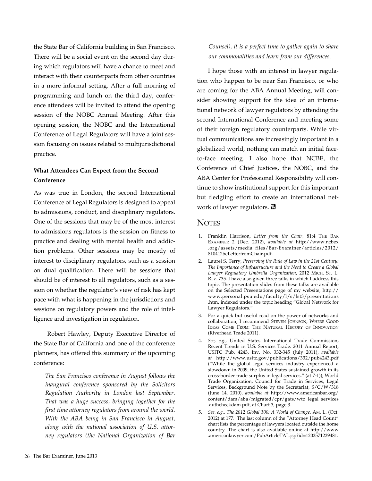the State Bar of California building in San Francisco. There will be a social event on the second day during which regulators will have a chance to meet and interact with their counterparts from other countries in a more informal setting. After a full morning of programming and lunch on the third day, conference attendees will be invited to attend the opening session of the NOBC Annual Meeting. After this opening session, the NOBC and the International Conference of Legal Regulators will have a joint session focusing on issues related to multijurisdictional practice.

## **What Attendees Can Expect from the Second Conference**

As was true in London, the second International Conference of Legal Regulators is designed to appeal to admissions, conduct, and disciplinary regulators. One of the sessions that may be of the most interest to admissions regulators is the session on fitness to practice and dealing with mental health and addiction problems. Other sessions may be mostly of interest to disciplinary regulators, such as a session on dual qualification. There will be sessions that should be of interest to all regulators, such as a session on whether the regulator's view of risk has kept pace with what is happening in the jurisdictions and sessions on regulatory powers and the role of intelligence and investigation in regulation.

 Robert Hawley, Deputy Executive Director of the State Bar of California and one of the conference planners, has offered this summary of the upcoming conference:

*The San Francisco conference in August follows the inaugural conference sponsored by the Solicitors Regulation Authority in London last September. That was a huge success, bringing together for the first time attorney regulators from around the world. With the ABA being in San Francisco in August, along with the national association of U.S. attorney regulators (the National Organization of Bar*  *Counsel), it is a perfect time to gather again to share our commonalities and learn from our differences.* 

I hope those with an interest in lawyer regulation who happen to be near San Francisco, or who are coming for the ABA Annual Meeting, will consider showing support for the idea of an international network of lawyer regulators by attending the second International Conference and meeting some of their foreign regulatory counterparts. While virtual communications are increasingly important in a globalized world, nothing can match an initial faceto-face meeting. I also hope that NCBE, the Conference of Chief Justices, the NOBC, and the ABA Center for Professional Responsibility will continue to show institutional support for this important but fledgling effort to create an international network of lawyer regulators.

## **NOTES**

- 1. Franklin Harrison, *Letter from the Chair,* 81:4 The Bar Examiner 2 (Dec. 2012), *available at* http://www.ncbex .org/assets/media\_files/Bar-Examiner/articles/2012/ 810412beLetterfromChair.pdf.
- 2. Laurel S. Terry, *Preserving the Rule of Law in the 21st Century: The Importance of Infrastructure and the Need to Create a Global Lawyer Regulatory Umbrella Organization,* 2012 Mich. St. L. Rev. 735. I have also given three talks in which I address this topic. The presentation slides from these talks are available on the Selected Presentations page of my website, http:// www.personal.psu.edu/faculty/l/s/lst3/presentations .htm, indexed under the topic heading "Global Network for Lawyer Regulators."
- 3. For a quick but useful read on the power of networks and collaboration, I recommend Steven Johnson, Where Good Ideas Come From: The Natural History of Innovation (Riverhead Trade 2011).
- 4. *See, e.g.,* United States International Trade Commission, Recent Trends in U.S. Services Trade: 2011 Annual Report, USITC Pub. 4243, Inv. No. 332-345 (July 2011), *available at* http://www.usitc.gov/publications/332/pub4243.pdf ("While the global legal services industry experienced a slowdown in 2009, the United States sustained growth in its cross-border trade surplus in legal services." (at 7-1)); World Trade Organization, Council for Trade in Services, Legal Services, Background Note by the Secretariat, S/C/W/318 (June 14, 2010), *available at* http://www.americanbar.org/ content/dam/aba/migrated/cpr/gats/wto\_legal\_services .authcheckdam.pdf, at Chart 3, page 3.
- 5. *See, e.g., The 2012 Global 100: A World of Change,* Am. L. (Oct. 2012) at 177. The last column of the "Attorney Head Count" chart lists the percentage of lawyers located outside the home country. The chart is also available online at http://www .americanlawyer.com/PubArticleTAL.jsp?id=1202571229481.